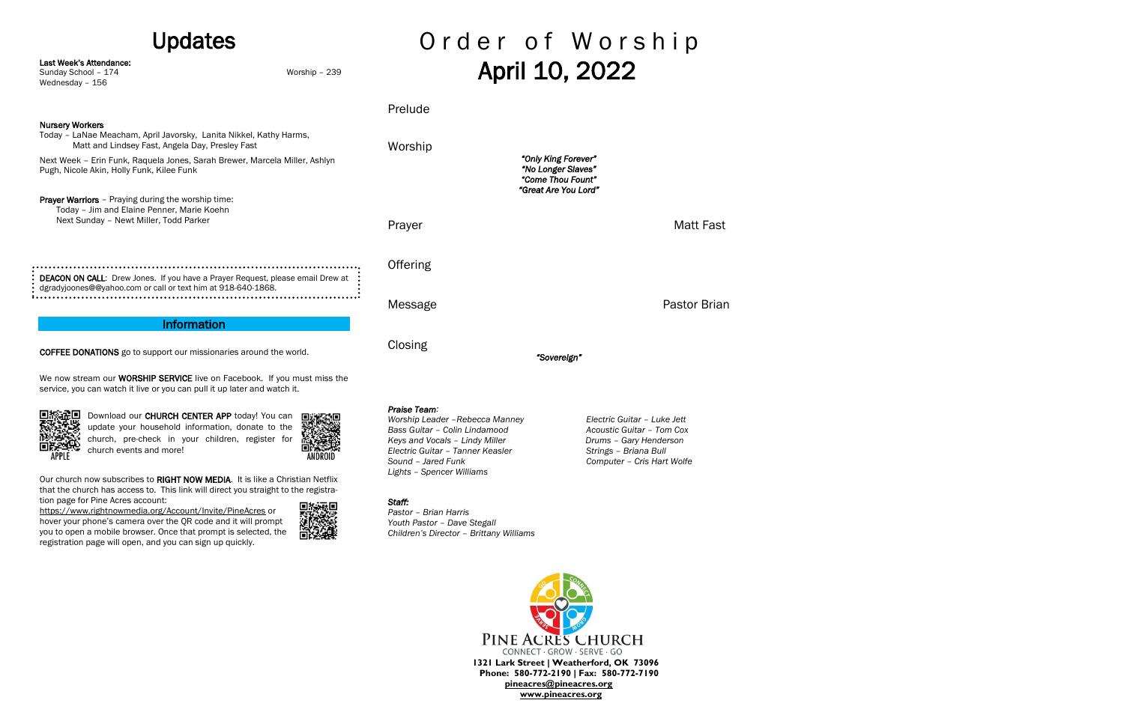| <b>Updates</b>                                                                                                                                                                                                                                                   |  |                                                                                                                                                                                                           | Order of Worship                  |                                                                                                                                           |  |
|------------------------------------------------------------------------------------------------------------------------------------------------------------------------------------------------------------------------------------------------------------------|--|-----------------------------------------------------------------------------------------------------------------------------------------------------------------------------------------------------------|-----------------------------------|-------------------------------------------------------------------------------------------------------------------------------------------|--|
| Last Week's Attendance:<br>Sunday School - 174<br>Worship - 239<br>Wednesday - 156                                                                                                                                                                               |  | April 10, 2022                                                                                                                                                                                            |                                   |                                                                                                                                           |  |
|                                                                                                                                                                                                                                                                  |  | Prelude                                                                                                                                                                                                   |                                   |                                                                                                                                           |  |
| <b>Nursery Workers</b><br>Today - LaNae Meacham, April Javorsky, Lanita Nikkel, Kathy Harms,<br>Matt and Lindsey Fast, Angela Day, Presley Fast                                                                                                                  |  | Worship                                                                                                                                                                                                   |                                   | "Only King Forever"<br>"No Longer Slaves"<br>"Come Thou Fount"                                                                            |  |
| Next Week - Erin Funk, Raquela Jones, Sarah Brewer, Marcela Miller, Ashlyn<br>Pugh, Nicole Akin, Holly Funk, Kilee Funk                                                                                                                                          |  |                                                                                                                                                                                                           |                                   |                                                                                                                                           |  |
| Prayer Warriors - Praying during the worship time:<br>Today - Jim and Elaine Penner, Marie Koehn<br>Next Sunday - Newt Miller, Todd Parker                                                                                                                       |  | Prayer                                                                                                                                                                                                    | "Great Are You Lord"<br>Matt Fast |                                                                                                                                           |  |
| DEACON ON CALL: Drew Jones. If you have a Prayer Request, please email Drew at<br>dgradyjoones@@yahoo.com or call or text him at 918-640-1868.                                                                                                                   |  | Offering                                                                                                                                                                                                  |                                   |                                                                                                                                           |  |
|                                                                                                                                                                                                                                                                  |  | Message                                                                                                                                                                                                   |                                   | Pastor Brian                                                                                                                              |  |
| <b>Information</b>                                                                                                                                                                                                                                               |  |                                                                                                                                                                                                           |                                   |                                                                                                                                           |  |
| <b>COFFEE DONATIONS</b> go to support our missionaries around the world.                                                                                                                                                                                         |  | Closing                                                                                                                                                                                                   | "Sovereign"                       |                                                                                                                                           |  |
| We now stream our WORSHIP SERVICE live on Facebook. If you must miss the<br>service, you can watch it live or you can pull it up later and watch it.                                                                                                             |  |                                                                                                                                                                                                           |                                   |                                                                                                                                           |  |
| Download our CHURCH CENTER APP today! You can<br>update your household information, donate to the<br>church, pre-check in your children, register for<br>church events and more!<br>Our church now subscribes to RIGHT NOW MEDIA. It is like a Christian Netflix |  | Praise Team:<br>Worship Leader - Rebecca Manney<br>Bass Guitar - Colin Lindamood<br>Keys and Vocals - Lindy Miller<br>Electric Guitar - Tanner Keasler<br>Sound - Jared Funk<br>Lights - Spencer Williams |                                   | Electric Guitar - Luke Jett<br>Acoustic Guitar - Tom Cox<br>Drums - Gary Henderson<br>Strings - Briana Bull<br>Computer - Cris Hart Wolfe |  |
| that the church has access to. This link will direct you straight to the registra-                                                                                                                                                                               |  |                                                                                                                                                                                                           |                                   |                                                                                                                                           |  |

PINE ACRES CHURCH CONNECT · GROW · SERVE · GO **1321 Lark Street | Weatherford, OK 73096 Phone: 580-772-2190 | Fax: 580-772-7190**

tion page for Pine Acres account:

<https://www.rightnowmedia.org/Account/Invite/PineAcres> or hover your phone's camera over the QR code and it will prompt you to open a mobile browser. Once that prompt is selected, the registration page will open, and you can sign up quickly.



## *Staff:*

*Pastor – Brian Harris Youth Pastor – Dave Stegall Children's Director – Brittany Williams* 

 **[pineacres@pineacres.org](mailto:pineacres@pineacres.org) [www.pineacres.org](http://www.pineacres.org/)**